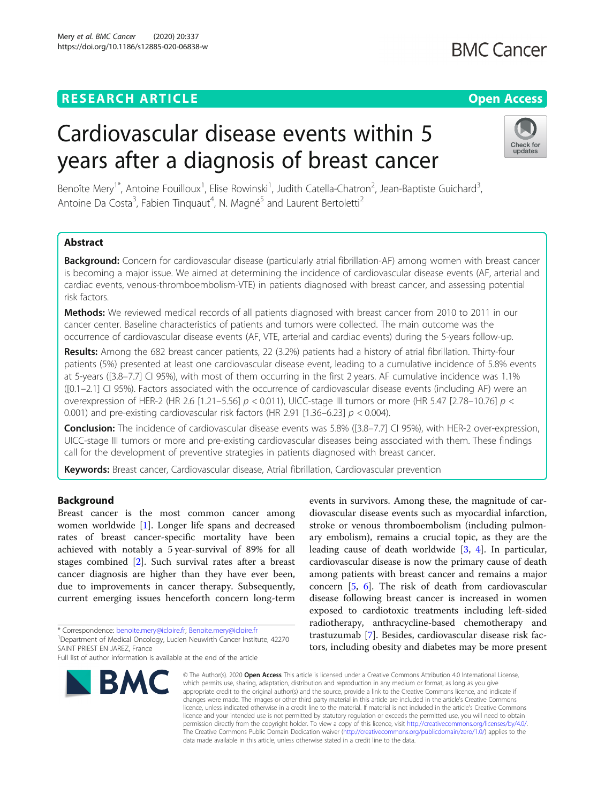### **RESEARCH ARTICLE Example 2014 12:30 The Contract of Contract ACCESS**

# **BMC Cancer**

## Cardiovascular disease events within 5 years after a diagnosis of breast cancer



Benoîte Mery<sup>1\*</sup>, Antoine Fouilloux<sup>1</sup>, Elise Rowinski<sup>1</sup>, Judith Catella-Chatron<sup>2</sup>, Jean-Baptiste Guichard<sup>3</sup> , Antoine Da Costa<sup>3</sup>, Fabien Tinquaut<sup>4</sup>, N. Magné<sup>5</sup> and Laurent Bertoletti<sup>2</sup>

#### Abstract

Background: Concern for cardiovascular disease (particularly atrial fibrillation-AF) among women with breast cancer is becoming a major issue. We aimed at determining the incidence of cardiovascular disease events (AF, arterial and cardiac events, venous-thromboembolism-VTE) in patients diagnosed with breast cancer, and assessing potential risk factors.

Methods: We reviewed medical records of all patients diagnosed with breast cancer from 2010 to 2011 in our cancer center. Baseline characteristics of patients and tumors were collected. The main outcome was the occurrence of cardiovascular disease events (AF, VTE, arterial and cardiac events) during the 5-years follow-up.

Results: Among the 682 breast cancer patients, 22 (3.2%) patients had a history of atrial fibrillation. Thirty-four patients (5%) presented at least one cardiovascular disease event, leading to a cumulative incidence of 5.8% events at 5-years ([3.8–7.7] CI 95%), with most of them occurring in the first 2 years. AF cumulative incidence was 1.1% ([0.1–2.1] CI 95%). Factors associated with the occurrence of cardiovascular disease events (including AF) were an overexpression of HER-2 (HR 2.6 [1.21–5.56]  $p < 0.011$ ), UICC-stage III tumors or more (HR 5.47 [2.78–10.76]  $p <$ 0.001) and pre-existing cardiovascular risk factors (HR 2.91 [1.36–6.23]  $p < 0.004$ ).

Conclusion: The incidence of cardiovascular disease events was 5.8% ([3.8–7.7] CI 95%), with HER-2 over-expression, UICC-stage III tumors or more and pre-existing cardiovascular diseases being associated with them. These findings call for the development of preventive strategies in patients diagnosed with breast cancer.

Keywords: Breast cancer, Cardiovascular disease, Atrial fibrillation, Cardiovascular prevention

#### Background

Breast cancer is the most common cancer among women worldwide [[1\]](#page-6-0). Longer life spans and decreased rates of breast cancer-specific mortality have been achieved with notably a 5 year-survival of 89% for all stages combined [[2\]](#page-6-0). Such survival rates after a breast cancer diagnosis are higher than they have ever been, due to improvements in cancer therapy. Subsequently, current emerging issues henceforth concern long-term

\* Correspondence: [benoite.mery@icloire.fr;](mailto:benoite.mery@icloire.fr) [Benoite.mery@icloire.fr](mailto:Benoite.mery@icloire.fr) <sup>1</sup>

Full list of author information is available at the end of the article



events in survivors. Among these, the magnitude of cardiovascular disease events such as myocardial infarction, stroke or venous thromboembolism (including pulmonary embolism), remains a crucial topic, as they are the leading cause of death worldwide [[3](#page-6-0), [4](#page-6-0)]. In particular, cardiovascular disease is now the primary cause of death among patients with breast cancer and remains a major concern [[5,](#page-6-0) [6\]](#page-6-0). The risk of death from cardiovascular disease following breast cancer is increased in women exposed to cardiotoxic treatments including left-sided radiotherapy, anthracycline-based chemotherapy and trastuzumab [\[7](#page-6-0)]. Besides, cardiovascular disease risk factors, including obesity and diabetes may be more present

© The Author(s), 2020 **Open Access** This article is licensed under a Creative Commons Attribution 4.0 International License, which permits use, sharing, adaptation, distribution and reproduction in any medium or format, as long as you give appropriate credit to the original author(s) and the source, provide a link to the Creative Commons licence, and indicate if changes were made. The images or other third party material in this article are included in the article's Creative Commons licence, unless indicated otherwise in a credit line to the material. If material is not included in the article's Creative Commons licence and your intended use is not permitted by statutory regulation or exceeds the permitted use, you will need to obtain permission directly from the copyright holder. To view a copy of this licence, visit [http://creativecommons.org/licenses/by/4.0/.](http://creativecommons.org/licenses/by/4.0/) The Creative Commons Public Domain Dedication waiver [\(http://creativecommons.org/publicdomain/zero/1.0/](http://creativecommons.org/publicdomain/zero/1.0/)) applies to the data made available in this article, unless otherwise stated in a credit line to the data.

Department of Medical Oncology, Lucien Neuwirth Cancer Institute, 42270 SAINT PRIEST EN JAREZ, France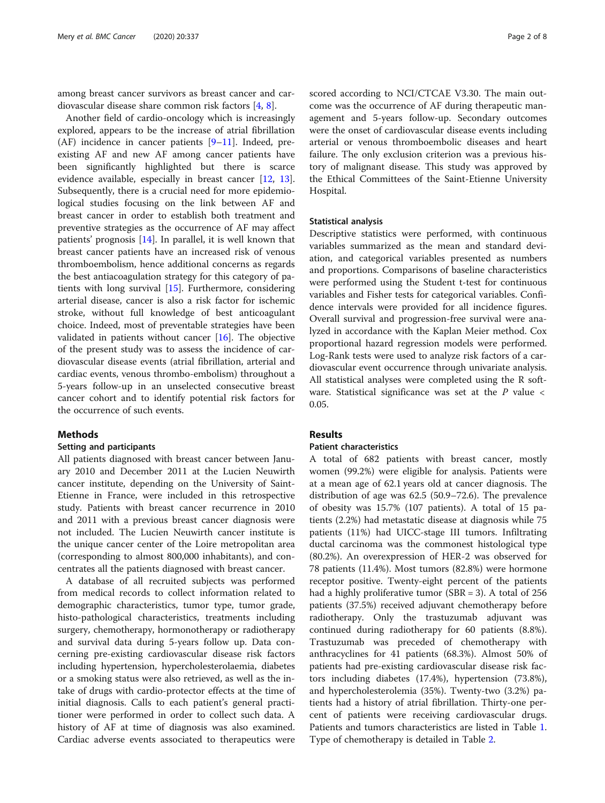among breast cancer survivors as breast cancer and cardiovascular disease share common risk factors [\[4](#page-6-0), [8](#page-6-0)].

Another field of cardio-oncology which is increasingly explored, appears to be the increase of atrial fibrillation (AF) incidence in cancer patients [[9](#page-6-0)–[11\]](#page-6-0). Indeed, preexisting AF and new AF among cancer patients have been significantly highlighted but there is scarce evidence available, especially in breast cancer [[12](#page-6-0), [13](#page-6-0)]. Subsequently, there is a crucial need for more epidemiological studies focusing on the link between AF and breast cancer in order to establish both treatment and preventive strategies as the occurrence of AF may affect patients' prognosis [[14\]](#page-6-0). In parallel, it is well known that breast cancer patients have an increased risk of venous thromboembolism, hence additional concerns as regards the best antiacoagulation strategy for this category of patients with long survival [[15\]](#page-6-0). Furthermore, considering arterial disease, cancer is also a risk factor for ischemic stroke, without full knowledge of best anticoagulant choice. Indeed, most of preventable strategies have been validated in patients without cancer [[16\]](#page-6-0). The objective of the present study was to assess the incidence of cardiovascular disease events (atrial fibrillation, arterial and cardiac events, venous thrombo-embolism) throughout a 5-years follow-up in an unselected consecutive breast cancer cohort and to identify potential risk factors for the occurrence of such events.

#### **Methods**

#### Setting and participants

All patients diagnosed with breast cancer between January 2010 and December 2011 at the Lucien Neuwirth cancer institute, depending on the University of Saint-Etienne in France, were included in this retrospective study. Patients with breast cancer recurrence in 2010 and 2011 with a previous breast cancer diagnosis were not included. The Lucien Neuwirth cancer institute is the unique cancer center of the Loire metropolitan area (corresponding to almost 800,000 inhabitants), and concentrates all the patients diagnosed with breast cancer.

A database of all recruited subjects was performed from medical records to collect information related to demographic characteristics, tumor type, tumor grade, histo-pathological characteristics, treatments including surgery, chemotherapy, hormonotherapy or radiotherapy and survival data during 5-years follow up. Data concerning pre-existing cardiovascular disease risk factors including hypertension, hypercholesterolaemia, diabetes or a smoking status were also retrieved, as well as the intake of drugs with cardio-protector effects at the time of initial diagnosis. Calls to each patient's general practitioner were performed in order to collect such data. A history of AF at time of diagnosis was also examined. Cardiac adverse events associated to therapeutics were

scored according to NCI/CTCAE V3.30. The main outcome was the occurrence of AF during therapeutic management and 5-years follow-up. Secondary outcomes were the onset of cardiovascular disease events including arterial or venous thromboembolic diseases and heart failure. The only exclusion criterion was a previous history of malignant disease. This study was approved by the Ethical Committees of the Saint-Etienne University Hospital.

#### Statistical analysis

Descriptive statistics were performed, with continuous variables summarized as the mean and standard deviation, and categorical variables presented as numbers and proportions. Comparisons of baseline characteristics were performed using the Student t-test for continuous variables and Fisher tests for categorical variables. Confidence intervals were provided for all incidence figures. Overall survival and progression-free survival were analyzed in accordance with the Kaplan Meier method. Cox proportional hazard regression models were performed. Log-Rank tests were used to analyze risk factors of a cardiovascular event occurrence through univariate analysis. All statistical analyses were completed using the R software. Statistical significance was set at the  $P$  value  $\lt$ 0.05.

#### Results

#### Patient characteristics

A total of 682 patients with breast cancer, mostly women (99.2%) were eligible for analysis. Patients were at a mean age of 62.1 years old at cancer diagnosis. The distribution of age was 62.5 (50.9–72.6). The prevalence of obesity was 15.7% (107 patients). A total of 15 patients (2.2%) had metastatic disease at diagnosis while 75 patients (11%) had UICC-stage III tumors. Infiltrating ductal carcinoma was the commonest histological type (80.2%). An overexpression of HER-2 was observed for 78 patients (11.4%). Most tumors (82.8%) were hormone receptor positive. Twenty-eight percent of the patients had a highly proliferative tumor (SBR = 3). A total of 256 patients (37.5%) received adjuvant chemotherapy before radiotherapy. Only the trastuzumab adjuvant was continued during radiotherapy for 60 patients (8.8%). Trastuzumab was preceded of chemotherapy with anthracyclines for 41 patients (68.3%). Almost 50% of patients had pre-existing cardiovascular disease risk factors including diabetes (17.4%), hypertension (73.8%), and hypercholesterolemia (35%). Twenty-two (3.2%) patients had a history of atrial fibrillation. Thirty-one percent of patients were receiving cardiovascular drugs. Patients and tumors characteristics are listed in Table [1](#page-2-0). Type of chemotherapy is detailed in Table [2.](#page-2-0)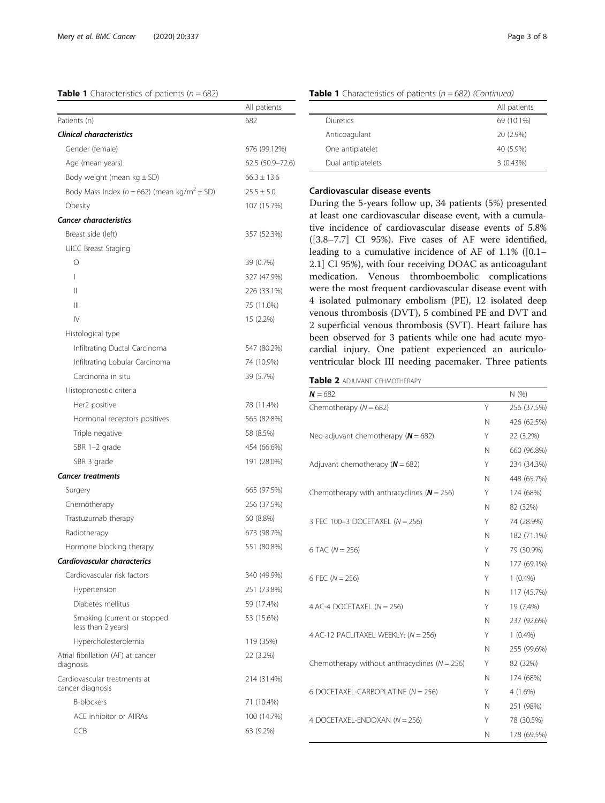#### <span id="page-2-0"></span>**Table 1** Characteristics of patients  $(n = 682)$

|                                                             | All patients     |
|-------------------------------------------------------------|------------------|
| Patients (n)                                                | 682              |
| <b>Clinical characteristics</b>                             |                  |
| Gender (female)                                             | 676 (99.12%)     |
| Age (mean years)                                            | 62.5 (50.9-72.6) |
| Body weight (mean $kg \pm SD$ )                             | $66.3 \pm 13.6$  |
| Body Mass Index ( $n = 662$ ) (mean kg/m <sup>2</sup> ± SD) | $25.5 \pm 5.0$   |
| Obesity                                                     | 107 (15.7%)      |
| <b>Cancer characteristics</b>                               |                  |
| Breast side (left)                                          | 357 (52.3%)      |
| <b>UICC Breast Staging</b>                                  |                  |
| О                                                           | 39 (0.7%)        |
| L                                                           | 327 (47.9%)      |
| Ш                                                           | 226 (33.1%)      |
| Ш                                                           | 75 (11.0%)       |
| $\mathsf{IV}$                                               | 15 (2.2%)        |
| Histological type                                           |                  |
| Infiltrating Ductal Carcinoma                               | 547 (80.2%)      |
| Infiltrating Lobular Carcinoma                              | 74 (10.9%)       |
| Carcinoma in situ                                           | 39 (5.7%)        |
| Histopronostic criteria                                     |                  |
| Her2 positive                                               | 78 (11.4%)       |
| Hormonal receptors positives                                | 565 (82.8%)      |
| Triple negative                                             | 58 (8.5%)        |
| SBR 1-2 grade                                               | 454 (66.6%)      |
| SBR 3 grade                                                 | 191 (28.0%)      |
| <b>Cancer treatments</b>                                    |                  |
| Surgery                                                     | 665 (97.5%)      |
| Chemotherapy                                                | 256 (37.5%)      |
| Trastuzumab therapy                                         | 60 (8.8%)        |
| Radiotherapy                                                | 673 (98.7%)      |
| Hormone blocking therapy                                    | 551 (80.8%)      |
| Cardiovascular characterics                                 |                  |
| Cardiovascular risk factors                                 | 340 (49.9%)      |
| Hypertension                                                | 251 (73.8%)      |
| Diabetes mellitus                                           | 59 (17.4%)       |
| Smoking (current or stopped<br>less than 2 years)           | 53 (15.6%)       |
| Hypercholesterolemia                                        | 119 (35%)        |
| Atrial fibrillation (AF) at cancer<br>diagnosis             | 22 (3.2%)        |
| Cardiovascular treatments at<br>cancer diagnosis            | 214 (31.4%)      |
| <b>B-blockers</b>                                           | 71 (10.4%)       |
| ACF inhibitor or AllRAs                                     | 100 (14.7%)      |
| <b>CCB</b>                                                  | 63 (9.2%)        |

|                    | All patients |
|--------------------|--------------|
| Diuretics          | 69 (10.1%)   |
| Anticoagulant      | 20 (2.9%)    |
| One antiplatelet   | 40 (5.9%)    |
| Dual antiplatelets | 3(0.43%)     |

#### **Table 1** Characteristics of patients ( $n = 682$ ) (Continued)

#### Cardiovascular disease events

During the 5-years follow up, 34 patients (5%) presented at least one cardiovascular disease event, with a cumulative incidence of cardiovascular disease events of 5.8% ([3.8–7.7] CI 95%). Five cases of AF were identified, leading to a cumulative incidence of AF of 1.1% ([0.1– 2.1] CI 95%), with four receiving DOAC as anticoagulant medication. Venous thromboembolic complications were the most frequent cardiovascular disease event with 4 isolated pulmonary embolism (PE), 12 isolated deep venous thrombosis (DVT), 5 combined PE and DVT and 2 superficial venous thrombosis (SVT). Heart failure has been observed for 3 patients while one had acute myocardial injury. One patient experienced an auriculoventricular block III needing pacemaker. Three patients

#### Table 2 ADJUVANT CEHMOTHERAPY

| $N = 682$                                         |   | N(% )       |
|---------------------------------------------------|---|-------------|
| Chemotherapy $(N = 682)$                          | Υ | 256 (37.5%) |
|                                                   | N | 426 (62.5%) |
| Neo-adjuvant chemotherapy ( $N = 682$ )           | Υ | 22 (3.2%)   |
|                                                   | N | 660 (96.8%) |
| Adjuvant chemotherapy ( $N = 682$ )               | Υ | 234 (34.3%) |
|                                                   | N | 448 (65.7%) |
| Chemotherapy with anthracyclines ( $N = 256$ )    | Y | 174 (68%)   |
|                                                   | N | 82 (32%)    |
| 3 FEC 100-3 DOCETAXEL (N = 256)                   | Υ | 74 (28.9%)  |
|                                                   | N | 182 (71.1%) |
| 6 TAC ( $N = 256$ )                               | Υ | 79 (30.9%)  |
|                                                   | N | 177 (69.1%) |
| 6 FEC $(N = 256)$                                 | Υ | $1(0.4\%)$  |
|                                                   | N | 117 (45.7%) |
| 4 AC-4 DOCETAXEL ( $N = 256$ )                    | Υ | 19 (7.4%)   |
|                                                   | N | 237 (92.6%) |
| 4 AC-12 PACLITAXEL WEEKLY: (N = 256)              | Υ | $1(0.4\%)$  |
|                                                   | N | 255 (99.6%) |
| Chemotherapy without anthracyclines ( $N = 256$ ) | Υ | 82 (32%)    |
|                                                   | N | 174 (68%)   |
| 6 DOCETAXEL-CARBOPLATINE ( $N = 256$ )            | Υ | $4(1.6\%)$  |
|                                                   | N | 251 (98%)   |
| 4 DOCETAXEL-ENDOXAN ( $N = 256$ )                 | Y | 78 (30.5%)  |
|                                                   | N | 178 (69.5%) |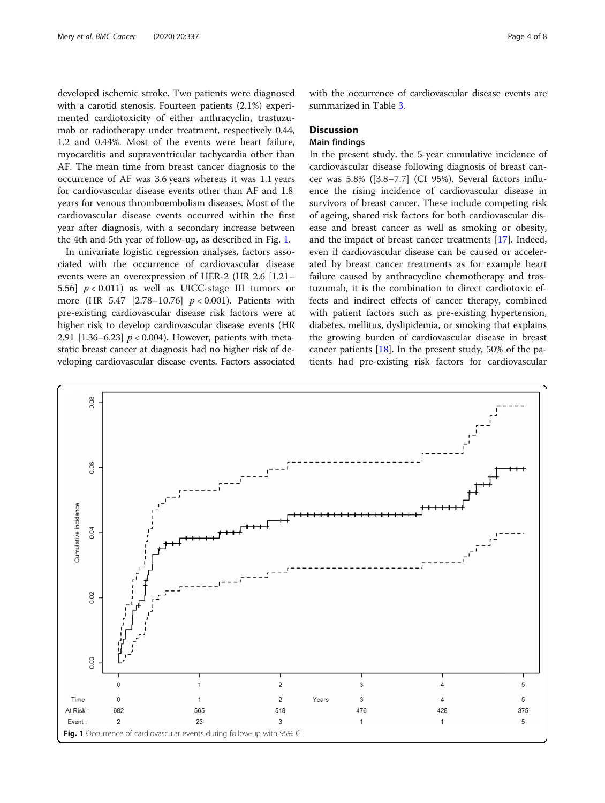developed ischemic stroke. Two patients were diagnosed with a carotid stenosis. Fourteen patients (2.1%) experimented cardiotoxicity of either anthracyclin, trastuzumab or radiotherapy under treatment, respectively 0.44, 1.2 and 0.44%. Most of the events were heart failure, myocarditis and supraventricular tachycardia other than AF. The mean time from breast cancer diagnosis to the occurrence of AF was 3.6 years whereas it was 1.1 years for cardiovascular disease events other than AF and 1.8 years for venous thromboembolism diseases. Most of the cardiovascular disease events occurred within the first year after diagnosis, with a secondary increase between the 4th and 5th year of follow-up, as described in Fig. 1.

In univariate logistic regression analyses, factors associated with the occurrence of cardiovascular disease events were an overexpression of HER-2 (HR 2.6 [1.21– 5.56]  $p < 0.011$  as well as UICC-stage III tumors or more (HR 5.47 [2.78-10.76]  $p < 0.001$ ). Patients with pre-existing cardiovascular disease risk factors were at higher risk to develop cardiovascular disease events (HR 2.91  $[1.36 - 6.23]$   $p < 0.004$ ). However, patients with metastatic breast cancer at diagnosis had no higher risk of developing cardiovascular disease events. Factors associated with the occurrence of cardiovascular disease events are summarized in Table [3.](#page-4-0)

#### **Discussion**

#### Main findings

In the present study, the 5-year cumulative incidence of cardiovascular disease following diagnosis of breast cancer was 5.8% ([3.8–7.7] (CI 95%). Several factors influence the rising incidence of cardiovascular disease in survivors of breast cancer. These include competing risk of ageing, shared risk factors for both cardiovascular disease and breast cancer as well as smoking or obesity, and the impact of breast cancer treatments [\[17\]](#page-6-0). Indeed, even if cardiovascular disease can be caused or accelerated by breast cancer treatments as for example heart failure caused by anthracycline chemotherapy and trastuzumab, it is the combination to direct cardiotoxic effects and indirect effects of cancer therapy, combined with patient factors such as pre-existing hypertension, diabetes, mellitus, dyslipidemia, or smoking that explains the growing burden of cardiovascular disease in breast cancer patients [[18\]](#page-6-0). In the present study, 50% of the patients had pre-existing risk factors for cardiovascular

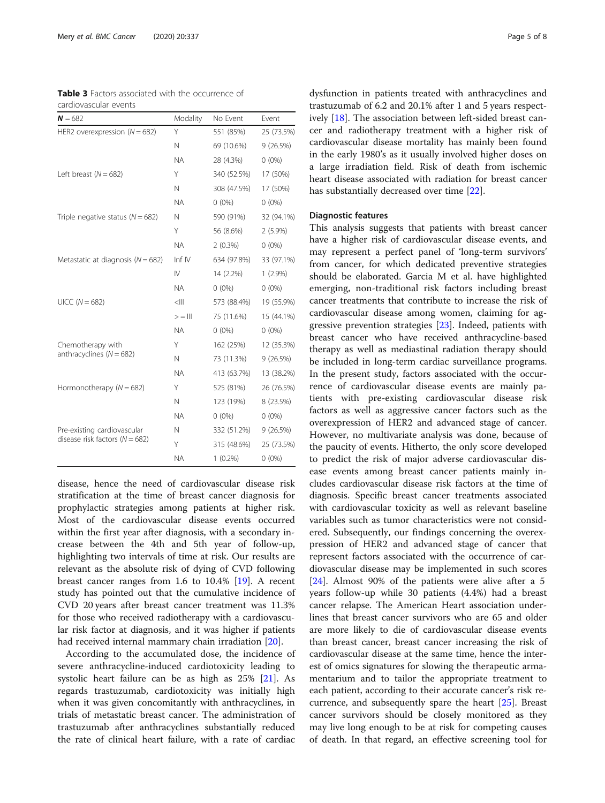<span id="page-4-0"></span>

|                       |  |  | <b>Table 3</b> Factors associated with the occurrence of |  |
|-----------------------|--|--|----------------------------------------------------------|--|
| cardiovascular events |  |  |                                                          |  |

| $N = 682$                             | Modality     | No Event    | Event      |
|---------------------------------------|--------------|-------------|------------|
| HER2 overexpression ( $N = 682$ )     | Υ            | 551 (85%)   | 25 (73.5%) |
|                                       | N            | 69 (10.6%)  | 9 (26.5%)  |
|                                       | <b>NA</b>    | 28 (4.3%)   | $0(0\%)$   |
| Left breast ( $N = 682$ )             | Υ            | 340 (52.5%) | 17 (50%)   |
|                                       | N            | 308 (47.5%) | 17 (50%)   |
|                                       | <b>NA</b>    | $0(0\%)$    | $0(0\%)$   |
| Triple negative status ( $N = 682$ )  | N            | 590 (91%)   | 32 (94.1%) |
|                                       | Υ            | 56 (8.6%)   | $2(5.9\%)$ |
|                                       | <b>NA</b>    | $2(0.3\%)$  | $0(0\%)$   |
| Metastatic at diagnosis ( $N = 682$ ) | Inf $IV$     | 634 (97.8%) | 33 (97.1%) |
|                                       | $\mathsf{N}$ | 14 (2.2%)   | $1(2.9\%)$ |
|                                       | <b>NA</b>    | $0(0\%)$    | $0(0\%)$   |
| $UICC (N = 682)$                      | $\leq$ III   | 573 (88.4%) | 19 (55.9%) |
|                                       | $>=$ III     | 75 (11.6%)  | 15 (44.1%) |
|                                       | <b>NA</b>    | $0(0\%)$    | $0(0\%)$   |
| Chemotherapy with                     | Υ            | 162 (25%)   | 12 (35.3%) |
| anthracyclines ( $N = 682$ )          | N            | 73 (11.3%)  | 9(26.5%)   |
|                                       | <b>NA</b>    | 413 (63.7%) | 13 (38.2%) |
| Hormonotherapy ( $N = 682$ )          | Υ            | 525 (81%)   | 26 (76.5%) |
|                                       | N            | 123 (19%)   | 8 (23.5%)  |
|                                       | <b>NA</b>    | $0(0\%)$    | $0(0\%)$   |
| Pre-existing cardiovascular           | N            | 332 (51.2%) | 9(26.5%)   |
| disease risk factors ( $N = 682$ )    | Υ            | 315 (48.6%) | 25 (73.5%) |
|                                       | <b>NA</b>    | $1(0.2\%)$  | $0(0\%)$   |

disease, hence the need of cardiovascular disease risk stratification at the time of breast cancer diagnosis for prophylactic strategies among patients at higher risk. Most of the cardiovascular disease events occurred within the first year after diagnosis, with a secondary increase between the 4th and 5th year of follow-up, highlighting two intervals of time at risk. Our results are relevant as the absolute risk of dying of CVD following breast cancer ranges from 1.6 to 10.4% [[19\]](#page-6-0). A recent study has pointed out that the cumulative incidence of CVD 20 years after breast cancer treatment was 11.3% for those who received radiotherapy with a cardiovascular risk factor at diagnosis, and it was higher if patients had received internal mammary chain irradiation [[20\]](#page-6-0).

According to the accumulated dose, the incidence of severe anthracycline-induced cardiotoxicity leading to systolic heart failure can be as high as 25% [\[21](#page-7-0)]. As regards trastuzumab, cardiotoxicity was initially high when it was given concomitantly with anthracyclines, in trials of metastatic breast cancer. The administration of trastuzumab after anthracyclines substantially reduced the rate of clinical heart failure, with a rate of cardiac

dysfunction in patients treated with anthracyclines and trastuzumab of 6.2 and 20.1% after 1 and 5 years respectively [\[18](#page-6-0)]. The association between left-sided breast cancer and radiotherapy treatment with a higher risk of cardiovascular disease mortality has mainly been found in the early 1980's as it usually involved higher doses on a large irradiation field. Risk of death from ischemic heart disease associated with radiation for breast cancer has substantially decreased over time [[22](#page-7-0)].

#### Diagnostic features

This analysis suggests that patients with breast cancer have a higher risk of cardiovascular disease events, and may represent a perfect panel of 'long-term survivors' from cancer, for which dedicated preventive strategies should be elaborated. Garcia M et al. have highlighted emerging, non-traditional risk factors including breast cancer treatments that contribute to increase the risk of cardiovascular disease among women, claiming for aggressive prevention strategies [[23](#page-7-0)]. Indeed, patients with breast cancer who have received anthracycline-based therapy as well as mediastinal radiation therapy should be included in long-term cardiac surveillance programs. In the present study, factors associated with the occurrence of cardiovascular disease events are mainly patients with pre-existing cardiovascular disease risk factors as well as aggressive cancer factors such as the overexpression of HER2 and advanced stage of cancer. However, no multivariate analysis was done, because of the paucity of events. Hitherto, the only score developed to predict the risk of major adverse cardiovascular disease events among breast cancer patients mainly includes cardiovascular disease risk factors at the time of diagnosis. Specific breast cancer treatments associated with cardiovascular toxicity as well as relevant baseline variables such as tumor characteristics were not considered. Subsequently, our findings concerning the overexpression of HER2 and advanced stage of cancer that represent factors associated with the occurrence of cardiovascular disease may be implemented in such scores [[24\]](#page-7-0). Almost 90% of the patients were alive after a 5 years follow-up while 30 patients (4.4%) had a breast cancer relapse. The American Heart association underlines that breast cancer survivors who are 65 and older are more likely to die of cardiovascular disease events than breast cancer, breast cancer increasing the risk of cardiovascular disease at the same time, hence the interest of omics signatures for slowing the therapeutic armamentarium and to tailor the appropriate treatment to each patient, according to their accurate cancer's risk recurrence, and subsequently spare the heart [\[25\]](#page-7-0). Breast cancer survivors should be closely monitored as they may live long enough to be at risk for competing causes of death. In that regard, an effective screening tool for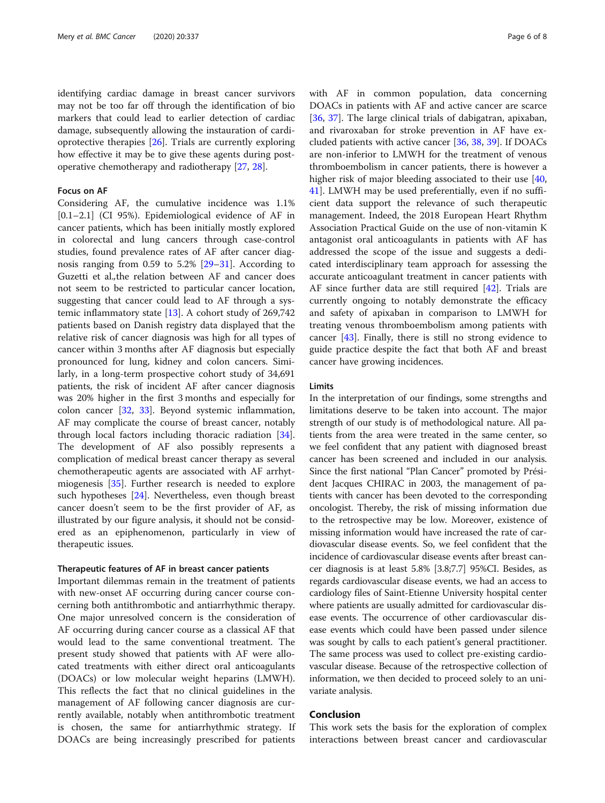identifying cardiac damage in breast cancer survivors may not be too far off through the identification of bio markers that could lead to earlier detection of cardiac damage, subsequently allowing the instauration of cardioprotective therapies [[26](#page-7-0)]. Trials are currently exploring how effective it may be to give these agents during postoperative chemotherapy and radiotherapy [[27](#page-7-0), [28](#page-7-0)].

#### Focus on AF

Considering AF, the cumulative incidence was 1.1% [0.1–2.1] (CI 95%). Epidemiological evidence of AF in cancer patients, which has been initially mostly explored in colorectal and lung cancers through case-control studies, found prevalence rates of AF after cancer diagnosis ranging from 0.59 to 5.2% [[29](#page-7-0)–[31](#page-7-0)]. According to Guzetti et al.,the relation between AF and cancer does not seem to be restricted to particular cancer location, suggesting that cancer could lead to AF through a systemic inflammatory state [\[13](#page-6-0)]. A cohort study of 269,742 patients based on Danish registry data displayed that the relative risk of cancer diagnosis was high for all types of cancer within 3 months after AF diagnosis but especially pronounced for lung, kidney and colon cancers. Similarly, in a long-term prospective cohort study of 34,691 patients, the risk of incident AF after cancer diagnosis was 20% higher in the first 3 months and especially for colon cancer [[32,](#page-7-0) [33](#page-7-0)]. Beyond systemic inflammation, AF may complicate the course of breast cancer, notably through local factors including thoracic radiation [\[34](#page-7-0)]. The development of AF also possibly represents a complication of medical breast cancer therapy as several chemotherapeutic agents are associated with AF arrhytmiogenesis [\[35](#page-7-0)]. Further research is needed to explore such hypotheses [\[24\]](#page-7-0). Nevertheless, even though breast cancer doesn't seem to be the first provider of AF, as illustrated by our figure analysis, it should not be considered as an epiphenomenon, particularly in view of therapeutic issues.

#### Therapeutic features of AF in breast cancer patients

Important dilemmas remain in the treatment of patients with new-onset AF occurring during cancer course concerning both antithrombotic and antiarrhythmic therapy. One major unresolved concern is the consideration of AF occurring during cancer course as a classical AF that would lead to the same conventional treatment. The present study showed that patients with AF were allocated treatments with either direct oral anticoagulants (DOACs) or low molecular weight heparins (LMWH). This reflects the fact that no clinical guidelines in the management of AF following cancer diagnosis are currently available, notably when antithrombotic treatment is chosen, the same for antiarrhythmic strategy. If DOACs are being increasingly prescribed for patients

with AF in common population, data concerning DOACs in patients with AF and active cancer are scarce [[36,](#page-7-0) [37](#page-7-0)]. The large clinical trials of dabigatran, apixaban, and rivaroxaban for stroke prevention in AF have excluded patients with active cancer [[36](#page-7-0), [38](#page-7-0), [39](#page-7-0)]. If DOACs are non-inferior to LMWH for the treatment of venous thromboembolism in cancer patients, there is however a higher risk of major bleeding associated to their use [[40](#page-7-0), [41\]](#page-7-0). LMWH may be used preferentially, even if no sufficient data support the relevance of such therapeutic management. Indeed, the 2018 European Heart Rhythm Association Practical Guide on the use of non-vitamin K antagonist oral anticoagulants in patients with AF has addressed the scope of the issue and suggests a dedicated interdisciplinary team approach for assessing the accurate anticoagulant treatment in cancer patients with AF since further data are still required [[42](#page-7-0)]. Trials are currently ongoing to notably demonstrate the efficacy and safety of apixaban in comparison to LMWH for treating venous thromboembolism among patients with cancer [[43\]](#page-7-0). Finally, there is still no strong evidence to guide practice despite the fact that both AF and breast cancer have growing incidences.

#### Limits

In the interpretation of our findings, some strengths and limitations deserve to be taken into account. The major strength of our study is of methodological nature. All patients from the area were treated in the same center, so we feel confident that any patient with diagnosed breast cancer has been screened and included in our analysis. Since the first national "Plan Cancer" promoted by Président Jacques CHIRAC in 2003, the management of patients with cancer has been devoted to the corresponding oncologist. Thereby, the risk of missing information due to the retrospective may be low. Moreover, existence of missing information would have increased the rate of cardiovascular disease events. So, we feel confident that the incidence of cardiovascular disease events after breast cancer diagnosis is at least 5.8% [3.8;7.7] 95%CI. Besides, as regards cardiovascular disease events, we had an access to cardiology files of Saint-Etienne University hospital center where patients are usually admitted for cardiovascular disease events. The occurrence of other cardiovascular disease events which could have been passed under silence was sought by calls to each patient's general practitioner. The same process was used to collect pre-existing cardiovascular disease. Because of the retrospective collection of information, we then decided to proceed solely to an univariate analysis.

#### Conclusion

This work sets the basis for the exploration of complex interactions between breast cancer and cardiovascular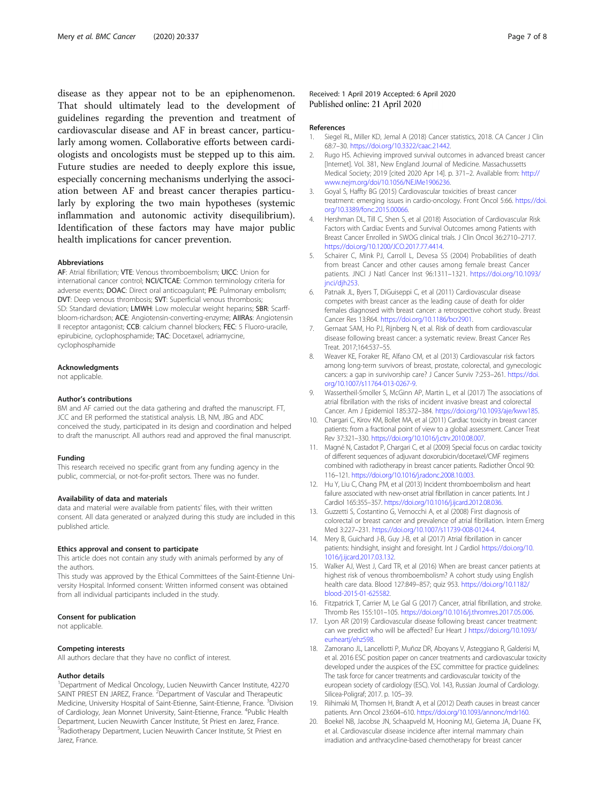<span id="page-6-0"></span>disease as they appear not to be an epiphenomenon. That should ultimately lead to the development of guidelines regarding the prevention and treatment of cardiovascular disease and AF in breast cancer, particularly among women. Collaborative efforts between cardiologists and oncologists must be stepped up to this aim. Future studies are needed to deeply explore this issue, especially concerning mechanisms underlying the association between AF and breast cancer therapies particularly by exploring the two main hypotheses (systemic inflammation and autonomic activity disequilibrium). Identification of these factors may have major public health implications for cancer prevention.

#### Abbreviations

AF: Atrial fibrillation; VTE: Venous thromboembolism; UICC: Union for international cancer control; NCI/CTCAE: Common terminology criteria for adverse events; DOAC: Direct oral anticoagulant; PE: Pulmonary embolism; DVT: Deep venous thrombosis; SVT: Superficial venous thrombosis; SD: Standard deviation; LMWH: Low molecular weight heparins; SBR: Scarffbloom-richardson; ACE: Angiotensin-converting-enzyme; AIIRAs: Angiotensin II receptor antagonist; CCB: calcium channel blockers; FEC: 5 Fluoro-uracile, epirubicine, cyclophosphamide; TAC: Docetaxel, adriamycine, cyclophosphamide

#### Acknowledgments

not applicable.

#### Author's contributions

BM and AF carried out the data gathering and drafted the manuscript. FT, JCC and ER performed the statistical analysis. LB, NM, JBG and ADC conceived the study, participated in its design and coordination and helped to draft the manuscript. All authors read and approved the final manuscript.

#### Funding

This research received no specific grant from any funding agency in the public, commercial, or not-for-profit sectors. There was no funder.

#### Availability of data and materials

data and material were available from patients' files, with their written consent. All data generated or analyzed during this study are included in this published article.

#### Ethics approval and consent to participate

This article does not contain any study with animals performed by any of the authors.

This study was approved by the Ethical Committees of the Saint-Etienne University Hospital. Informed consent: Written informed consent was obtained from all individual participants included in the study.

#### Consent for publication

not applicable.

#### Competing interests

All authors declare that they have no conflict of interest.

#### Author details

<sup>1</sup>Department of Medical Oncology, Lucien Neuwirth Cancer Institute, 42270 SAINT PRIEST EN JAREZ, France. <sup>2</sup> Department of Vascular and Therapeutic Medicine, University Hospital of Saint-Etienne, Saint-Etienne, France. <sup>3</sup>Division of Cardiology, Jean Monnet University, Saint-Etienne, France. <sup>4</sup>Public Health Department, Lucien Neuwirth Cancer Institute, St Priest en Jarez, France. <sup>5</sup>Radiotherapy Department, Lucien Neuwirth Cancer Institute, St Priest en Jarez, France.

#### Received: 1 April 2019 Accepted: 6 April 2020 Published online: 21 April 2020

#### References

- 1. Siegel RL, Miller KD, Jemal A (2018) Cancer statistics, 2018. CA Cancer J Clin 68:7–30. [https://doi.org/10.3322/caac.21442.](https://doi.org/10.3322/caac.21442)
- 2. Rugo HS. Achieving improved survival outcomes in advanced breast cancer [Internet]. Vol. 381, New England Journal of Medicine. Massachussetts Medical Society; 2019 [cited 2020 Apr 14]. p. 371–2. Available from: [http://](http://www.nejm.org/doi/10.1056/NEJMe1906236) [www.nejm.org/doi/10.1056/NEJMe1906236.](http://www.nejm.org/doi/10.1056/NEJMe1906236)
- 3. Goyal S, Haffty BG (2015) Cardiovascular toxicities of breast cancer treatment: emerging issues in cardio-oncology. Front Oncol 5:66. [https://doi.](https://doi.org/10.3389/fonc.2015.00066) [org/10.3389/fonc.2015.00066.](https://doi.org/10.3389/fonc.2015.00066)
- 4. Hershman DL, Till C, Shen S, et al (2018) Association of Cardiovascular Risk Factors with Cardiac Events and Survival Outcomes among Patients with Breast Cancer Enrolled in SWOG clinical trials. J Clin Oncol 36:2710–2717. [https://doi.org/10.1200/JCO.2017.77.4414.](https://doi.org/10.1200/JCO.2017.77.4414)
- 5. Schairer C, Mink PJ, Carroll L, Devesa SS (2004) Probabilities of death from breast Cancer and other causes among female breast Cancer patients. JNCI J Natl Cancer Inst 96:1311–1321. [https://doi.org/10.1093/](https://doi.org/10.1093/jnci/djh253) [jnci/djh253](https://doi.org/10.1093/jnci/djh253).
- 6. Patnaik JL, Byers T, DiGuiseppi C, et al (2011) Cardiovascular disease competes with breast cancer as the leading cause of death for older females diagnosed with breast cancer: a retrospective cohort study. Breast Cancer Res 13:R64. [https://doi.org/10.1186/bcr2901.](https://doi.org/10.1186/bcr2901)
- 7. Gernaat SAM, Ho PJ, Rijnberg N, et al. Risk of death from cardiovascular disease following breast cancer: a systematic review. Breast Cancer Res Treat. 2017;164:537–55.
- 8. Weaver KE, Foraker RE, Alfano CM, et al (2013) Cardiovascular risk factors among long-term survivors of breast, prostate, colorectal, and gynecologic cancers: a gap in survivorship care? J Cancer Surviv 7:253–261. [https://doi.](https://doi.org/10.1007/s11764-013-0267-9) [org/10.1007/s11764-013-0267-9](https://doi.org/10.1007/s11764-013-0267-9).
- 9. Wassertheil-Smoller S, McGinn AP, Martin L, et al (2017) The associations of atrial fibrillation with the risks of incident invasive breast and colorectal Cancer. Am J Epidemiol 185:372–384. [https://doi.org/10.1093/aje/kww185.](https://doi.org/10.1093/aje/kww185)
- 10. Chargari C, Kirov KM, Bollet MA, et al (2011) Cardiac toxicity in breast cancer patients: from a fractional point of view to a global assessment. Cancer Treat Rev 37:321–330. [https://doi.org/10.1016/j.ctrv.2010.08.007.](https://doi.org/10.1016/j.ctrv.2010.08.007)
- 11. Magné N, Castadot P, Chargari C, et al (2009) Special focus on cardiac toxicity of different sequences of adjuvant doxorubicin/docetaxel/CMF regimens combined with radiotherapy in breast cancer patients. Radiother Oncol 90: 116–121. <https://doi.org/10.1016/j.radonc.2008.10.003>.
- 12. Hu Y, Liu C, Chang PM, et al (2013) Incident thromboembolism and heart failure associated with new-onset atrial fibrillation in cancer patients. Int J Cardiol 165:355–357. [https://doi.org/10.1016/j.ijcard.2012.08.036.](https://doi.org/10.1016/j.ijcard.2012.08.036)
- 13. Guzzetti S, Costantino G, Vernocchi A, et al (2008) First diagnosis of colorectal or breast cancer and prevalence of atrial fibrillation. Intern Emerg Med 3:227–231. [https://doi.org/10.1007/s11739-008-0124-4.](https://doi.org/10.1007/s11739-008-0124-4)
- 14. Mery B, Guichard J-B, Guy J-B, et al (2017) Atrial fibrillation in cancer patients: hindsight, insight and foresight. Int J Cardiol [https://doi.org/10.](https://doi.org/10.1016/j.ijcard.2017.03.132) [1016/j.ijcard.2017.03.132.](https://doi.org/10.1016/j.ijcard.2017.03.132)
- 15. Walker AJ, West J, Card TR, et al (2016) When are breast cancer patients at highest risk of venous thromboembolism? A cohort study using English health care data. Blood 127:849–857; quiz 953. [https://doi.org/10.1182/](https://doi.org/10.1182/blood-2015-01-625582) [blood-2015-01-625582.](https://doi.org/10.1182/blood-2015-01-625582)
- 16. Fitzpatrick T, Carrier M, Le Gal G (2017) Cancer, atrial fibrillation, and stroke. Thromb Res 155:101–105. [https://doi.org/10.1016/j.thromres.2017.05.006.](https://doi.org/10.1016/j.thromres.2017.05.006)
- 17. Lyon AR (2019) Cardiovascular disease following breast cancer treatment: can we predict who will be affected? Eur Heart J [https://doi.org/10.1093/](https://doi.org/10.1093/eurheartj/ehz598) [eurheartj/ehz598.](https://doi.org/10.1093/eurheartj/ehz598)
- 18. Zamorano JL, Lancellotti P, Muñoz DR, Aboyans V, Asteggiano R, Galderisi M, et al. 2016 ESC position paper on cancer treatments and cardiovascular toxicity developed under the auspices of the ESC committee for practice guidelines: The task force for cancer treatments and cardiovascular toxicity of the european society of cardiology (ESC). Vol. 143, Russian Journal of Cardiology. Silicea-Poligraf; 2017. p. 105–39.
- 19. Riihimaki M, Thomsen H, Brandt A, et al (2012) Death causes in breast cancer patients. Ann Oncol 23:604–610. <https://doi.org/10.1093/annonc/mdr160>.
- 20. Boekel NB, Jacobse JN, Schaapveld M, Hooning MJ, Gietema JA, Duane FK, et al. Cardiovascular disease incidence after internal mammary chain irradiation and anthracycline-based chemotherapy for breast cancer